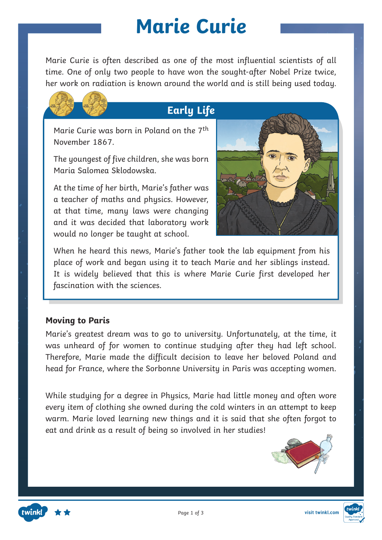## **Marie Curie**

time. One of only two people to have won the sought-after Nobel Prize twice, Marie Curie is often described as one of the most influential scientists of all her work on radiation is known around the world and is still being used today.



Marie Curie was born in Poland on the 7th November 1867.

The youngest of five children, she was born Maria Salomea Sklodowska.

At the time of her birth, Marie's father was a teacher of maths and physics. However, at that time, many laws were changing and it was decided that laboratory work would no longer be taught at school.



When he heard this news, Marie's father took the lab equipment from his place of work and began using it to teach Marie and her siblings instead. It is widely believed that this is where Marie Curie first developed her fascination with the sciences.

#### **Moving to Paris**

Marie's greatest dream was to go to university. Unfortunately, at the time, it was unheard of for women to continue studying after they had left school. Therefore, Marie made the difficult decision to leave her beloved Poland and head for France, where the Sorbonne University in Paris was accepting women.

While studying for a degree in Physics, Marie had little money and often wore every item of clothing she owned during the cold winters in an attempt to keep warm. Marie loved learning new things and it is said that she often forgot to eat and drink as a result of being so involved in her studies!



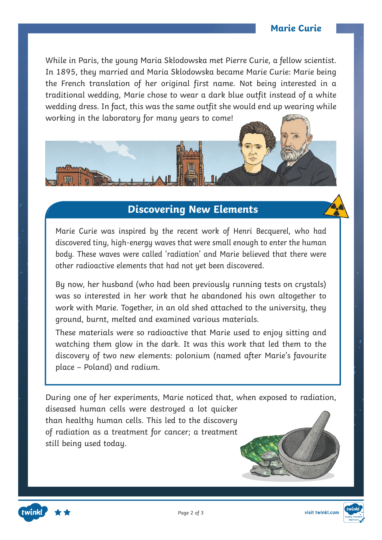#### **Marie Curie**

**Fact File** In 1895, they married and Maria Sklodowska became Marie Curie: Marie being While in Paris, the young Maria Sklodowska met Pierre Curie, a fellow scientist. the French translation of her original first name. Not being interested in a traditional wedding, Marie chose to wear a dark blue outfit instead of a white wedding dress. In fact, this was the same outfit she would end up wearing while working in the laboratory for many years to come!

## **Discovering New Elements**

Marie Curie was inspired by the recent work of Henri Becquerel, who had discovered tiny, high-energy waves that were small enough to enter the human body. These waves were called 'radiation' and Marie believed that there were other radioactive elements that had not yet been discovered.

By now, her husband (who had been previously running tests on crystals) was so interested in her work that he abandoned his own altogether to work with Marie. Together, in an old shed attached to the university, they ground, burnt, melted and examined various materials.

These materials were so radioactive that Marie used to enjoy sitting and watching them glow in the dark. It was this work that led them to the discovery of two new elements: polonium (named after Marie's favourite place – Poland) and radium.

During one of her experiments, Marie noticed that, when exposed to radiation,

diseased human cells were destroyed a lot quicker than healthy human cells. This led to the discovery of radiation as a treatment for cancer; a treatment still being used today.